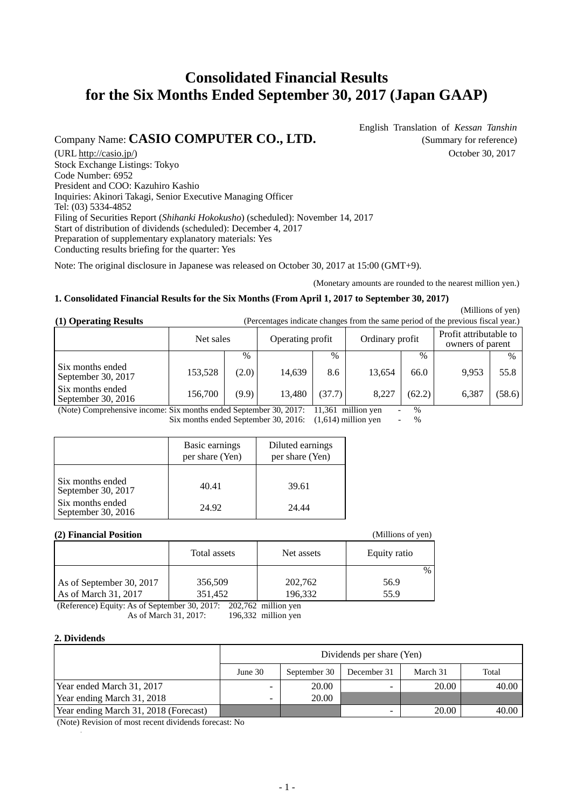# **Consolidated Financial Results for the Six Months Ended September 30, 2017 (Japan GAAP)**

## Company Name: **CASIO COMPUTER CO., LTD.** (Summary for reference)

English Translation of *Kessan Tanshin*

(URL http://casio.jp/) October 30, 2017 Stock Exchange Listings: Tokyo Code Number: 6952 President and COO: Kazuhiro Kashio Inquiries: Akinori Takagi, Senior Executive Managing Officer Tel: (03) 5334-4852 Filing of Securities Report (*Shihanki Hokokusho*) (scheduled): November 14, 2017 Start of distribution of dividends (scheduled): December 4, 2017 Preparation of supplementary explanatory materials: Yes Conducting results briefing for the quarter: Yes

Note: The original disclosure in Japanese was released on October 30, 2017 at 15:00 (GMT+9).

(Monetary amounts are rounded to the nearest million yen.)

#### **1. Consolidated Financial Results for the Six Months (From April 1, 2017 to September 30, 2017)**

 (Millions of yen) **(1) Operating Results** (Percentages indicate changes from the same period of the previous fiscal year.)

|                                                                                                                        | Net sales |               | Operating profit |               | Ordinary profit |           | Profit attributable to<br>owners of parent |        |
|------------------------------------------------------------------------------------------------------------------------|-----------|---------------|------------------|---------------|-----------------|-----------|--------------------------------------------|--------|
|                                                                                                                        |           | $\frac{0}{0}$ |                  | $\frac{0}{0}$ |                 | $\%$      |                                            | $\%$   |
| Six months ended<br>September 30, 2017                                                                                 | 153,528   | (2.0)         | 14,639           | 8.6           | 13.654          | 66.0      | 9.953                                      | 55.8   |
| Six months ended<br>September 30, $2016$                                                                               | 156,700   | (9.9)         | 13.480           | (37.7)        | 8,227           | (62.2)    | 6.387                                      | (58.6) |
| (Meta) Computed the following $\mathbb{C}$ in months on 1.1 $\mathbb{C}$ at $\frac{1}{2}$ 0. 0017. 11.261 million com- |           |               |                  |               |                 | $\Omega'$ |                                            |        |

(Note) Comprehensive income: Six months ended September 30, 2017: 11,361 million yen - %

Six months ended September 30, 2016:  $(1,614)$  million yen - %

|                                        | Basic earnings<br>per share (Yen) | Diluted earnings<br>per share (Yen) |
|----------------------------------------|-----------------------------------|-------------------------------------|
| Six months ended<br>September 30, 2017 | 40.41                             | 39.61                               |
| Six months ended<br>September 30, 2016 | 24.92                             | 24.44                               |

#### **(2) Financial Position** (Millions of yen)

|                          | Total assets | Net assets | Equity ratio |  |  |  |
|--------------------------|--------------|------------|--------------|--|--|--|
|                          |              |            | $\%$         |  |  |  |
| As of September 30, 2017 | 356,509      | 202,762    | 56.9         |  |  |  |
| As of March 31, 2017     | 351.452      | 196,332    | 55.9         |  |  |  |
|                          | -------      | $- - - -$  |              |  |  |  |

(Reference) Equity: As of September 30, 2017: 202,762 million yen<br>As of March 31, 2017: 196,332 million yen As of March 31, 2017:

#### **2. Dividends**

|                                       | Dividends per share (Yen) |              |             |          |       |  |
|---------------------------------------|---------------------------|--------------|-------------|----------|-------|--|
|                                       | June 30                   | September 30 | December 31 | March 31 | Total |  |
| Year ended March 31, 2017             |                           | 20.00        |             | 20.00    | 40.00 |  |
| Year ending March 31, 2018            |                           | 20.00        |             |          |       |  |
| Year ending March 31, 2018 (Forecast) |                           |              |             | 20.00    | 40.00 |  |

(Note) Revision of most recent dividends forecast: No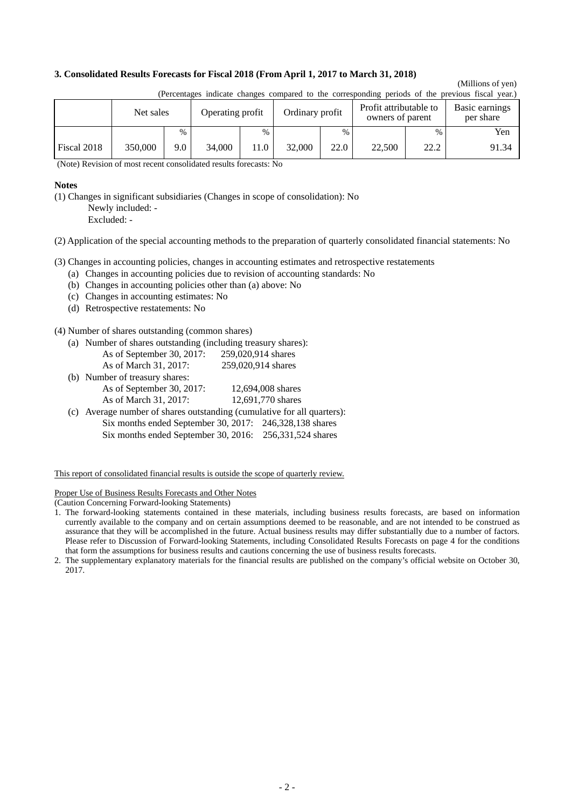#### **3. Consolidated Results Forecasts for Fiscal 2018 (From April 1, 2017 to March 31, 2018)**

## (Millions of yen)

|             | Net sales |               | Operating profit |      | Ordinary profit |      | Profit attributable to<br>owners of parent |      | Basic earnings<br>per share |
|-------------|-----------|---------------|------------------|------|-----------------|------|--------------------------------------------|------|-----------------------------|
|             |           | $\frac{0}{0}$ |                  | $\%$ |                 | $\%$ |                                            | $\%$ | Yen                         |
| Fiscal 2018 | 350,000   | 9.0           | 34,000           | 11.0 | 32,000          | 22.0 | 22,500                                     | 22.2 | 91.34                       |

(Percentages indicate changes compared to the corresponding periods of the previous fiscal year.)

(Note) Revision of most recent consolidated results forecasts: No

#### **Notes**

(1) Changes in significant subsidiaries (Changes in scope of consolidation): No Newly included: -

Excluded: -

(2) Application of the special accounting methods to the preparation of quarterly consolidated financial statements: No

(3) Changes in accounting policies, changes in accounting estimates and retrospective restatements

- (a) Changes in accounting policies due to revision of accounting standards: No
- (b) Changes in accounting policies other than (a) above: No
- (c) Changes in accounting estimates: No
- (d) Retrospective restatements: No

(4) Number of shares outstanding (common shares)

(a) Number of shares outstanding (including treasury shares):

| As of September 30, 2017: | 259,020,914 shares |
|---------------------------|--------------------|
| As of March 31, 2017:     | 259,020,914 shares |

- (b) Number of treasury shares: As of September 30, 2017: 12,694,008 shares As of March 31, 2017: 12,691,770 shares
- (c) Average number of shares outstanding (cumulative for all quarters): Six months ended September 30, 2017: 246,328,138 shares Six months ended September 30, 2016: 256,331,524 shares

This report of consolidated financial results is outside the scope of quarterly review.

Proper Use of Business Results Forecasts and Other Notes

(Caution Concerning Forward-looking Statements)

<sup>1.</sup> The forward-looking statements contained in these materials, including business results forecasts, are based on information currently available to the company and on certain assumptions deemed to be reasonable, and are not intended to be construed as assurance that they will be accomplished in the future. Actual business results may differ substantially due to a number of factors. Please refer to Discussion of Forward-looking Statements, including Consolidated Results Forecasts on page 4 for the conditions that form the assumptions for business results and cautions concerning the use of business results forecasts.

<sup>2.</sup> The supplementary explanatory materials for the financial results are published on the company's official website on October 30, 2017.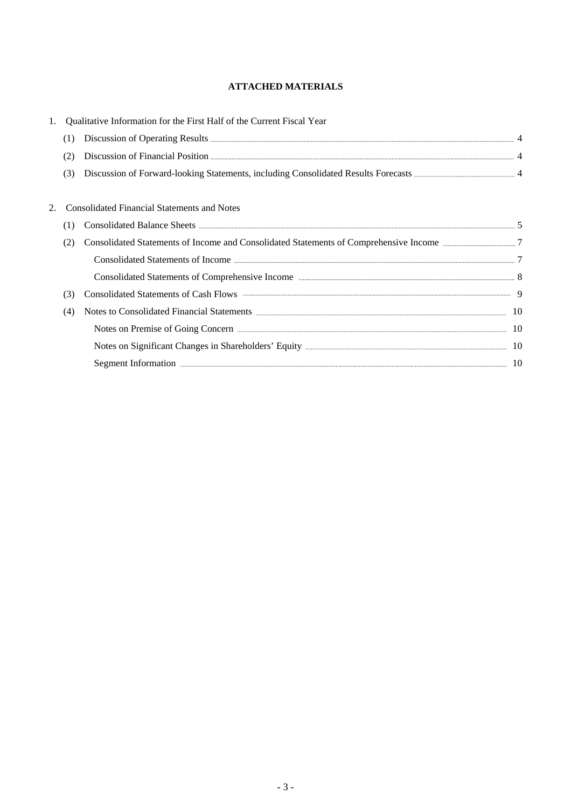## **ATTACHED MATERIALS**

|     | Qualitative Information for the First Half of the Current Fiscal Year                                 |  |
|-----|-------------------------------------------------------------------------------------------------------|--|
| (1) |                                                                                                       |  |
| (2) |                                                                                                       |  |
| (3) |                                                                                                       |  |
|     | <b>Consolidated Financial Statements and Notes</b>                                                    |  |
| (1) |                                                                                                       |  |
| (2) | Consolidated Statements of Income and Consolidated Statements of Comprehensive Income manufacturers 7 |  |
|     |                                                                                                       |  |
|     |                                                                                                       |  |
| (3) | Consolidated Statements of Cash Flows <b>Example 20</b> 9                                             |  |
| (4) |                                                                                                       |  |
|     | Notes on Premise of Going Concern <b>Election</b> Concern <b>Election</b> 10                          |  |
|     |                                                                                                       |  |
|     | Segment Information <b>Example 2018</b> 10                                                            |  |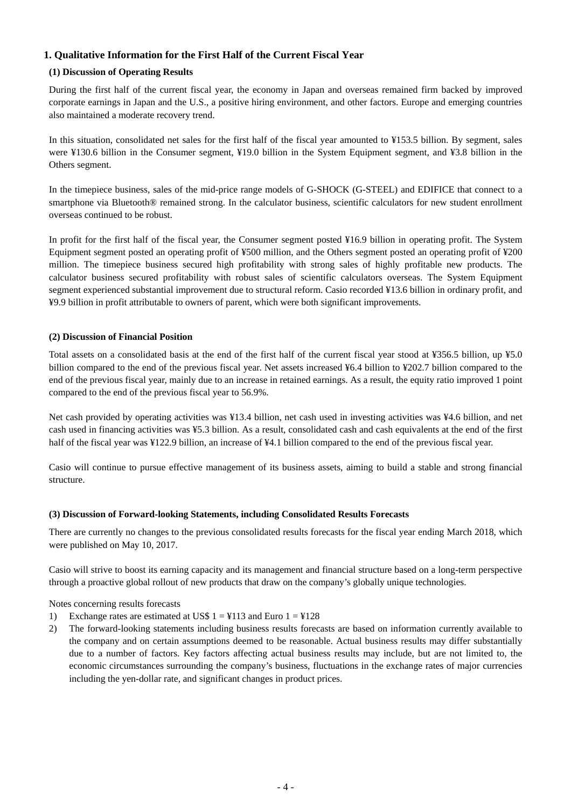## **1. Qualitative Information for the First Half of the Current Fiscal Year**

#### **(1) Discussion of Operating Results**

During the first half of the current fiscal year, the economy in Japan and overseas remained firm backed by improved corporate earnings in Japan and the U.S., a positive hiring environment, and other factors. Europe and emerging countries also maintained a moderate recovery trend.

In this situation, consolidated net sales for the first half of the fiscal year amounted to ¥153.5 billion. By segment, sales were ¥130.6 billion in the Consumer segment, ¥19.0 billion in the System Equipment segment, and ¥3.8 billion in the Others segment.

In the timepiece business, sales of the mid-price range models of G-SHOCK (G-STEEL) and EDIFICE that connect to a smartphone via Bluetooth® remained strong. In the calculator business, scientific calculators for new student enrollment overseas continued to be robust.

In profit for the first half of the fiscal year, the Consumer segment posted ¥16.9 billion in operating profit. The System Equipment segment posted an operating profit of ¥500 million, and the Others segment posted an operating profit of ¥200 million. The timepiece business secured high profitability with strong sales of highly profitable new products. The calculator business secured profitability with robust sales of scientific calculators overseas. The System Equipment segment experienced substantial improvement due to structural reform. Casio recorded ¥13.6 billion in ordinary profit, and ¥9.9 billion in profit attributable to owners of parent, which were both significant improvements.

#### **(2) Discussion of Financial Position**

Total assets on a consolidated basis at the end of the first half of the current fiscal year stood at ¥356.5 billion, up ¥5.0 billion compared to the end of the previous fiscal year. Net assets increased ¥6.4 billion to ¥202.7 billion compared to the end of the previous fiscal year, mainly due to an increase in retained earnings. As a result, the equity ratio improved 1 point compared to the end of the previous fiscal year to 56.9%.

Net cash provided by operating activities was ¥13.4 billion, net cash used in investing activities was ¥4.6 billion, and net cash used in financing activities was ¥5.3 billion. As a result, consolidated cash and cash equivalents at the end of the first half of the fiscal year was ¥122.9 billion, an increase of ¥4.1 billion compared to the end of the previous fiscal year.

Casio will continue to pursue effective management of its business assets, aiming to build a stable and strong financial structure.

#### **(3) Discussion of Forward-looking Statements, including Consolidated Results Forecasts**

There are currently no changes to the previous consolidated results forecasts for the fiscal year ending March 2018, which were published on May 10, 2017.

Casio will strive to boost its earning capacity and its management and financial structure based on a long-term perspective through a proactive global rollout of new products that draw on the company's globally unique technologies.

Notes concerning results forecasts

- 1) Exchange rates are estimated at US\$  $1 = 4113$  and Euro  $1 = 4128$
- 2) The forward-looking statements including business results forecasts are based on information currently available to the company and on certain assumptions deemed to be reasonable. Actual business results may differ substantially due to a number of factors. Key factors affecting actual business results may include, but are not limited to, the economic circumstances surrounding the company's business, fluctuations in the exchange rates of major currencies including the yen-dollar rate, and significant changes in product prices.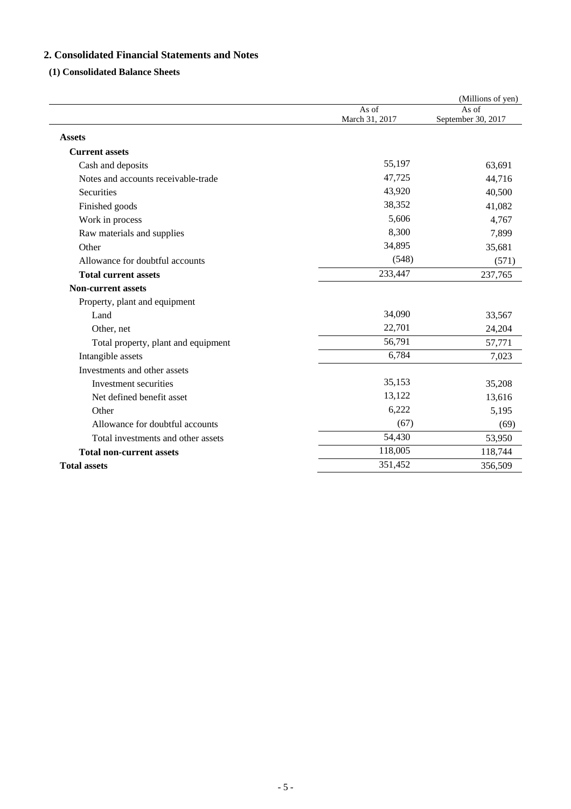## **2. Consolidated Financial Statements and Notes**

## **(1) Consolidated Balance Sheets**

|                                     |                         | (Millions of yen)           |
|-------------------------------------|-------------------------|-----------------------------|
|                                     | As of<br>March 31, 2017 | As of<br>September 30, 2017 |
| <b>Assets</b>                       |                         |                             |
| <b>Current assets</b>               |                         |                             |
| Cash and deposits                   | 55,197                  | 63,691                      |
| Notes and accounts receivable-trade | 47,725                  | 44,716                      |
| Securities                          | 43,920                  | 40,500                      |
| Finished goods                      | 38,352                  | 41,082                      |
| Work in process                     | 5,606                   | 4,767                       |
| Raw materials and supplies          | 8,300                   | 7,899                       |
| Other                               | 34,895                  | 35,681                      |
| Allowance for doubtful accounts     | (548)                   | (571)                       |
| <b>Total current assets</b>         | 233,447                 | 237,765                     |
| <b>Non-current assets</b>           |                         |                             |
| Property, plant and equipment       |                         |                             |
| Land                                | 34,090                  | 33,567                      |
| Other, net                          | 22,701                  | 24,204                      |
| Total property, plant and equipment | 56,791                  | 57,771                      |
| Intangible assets                   | 6,784                   | 7,023                       |
| Investments and other assets        |                         |                             |
| Investment securities               | 35,153                  | 35,208                      |
| Net defined benefit asset           | 13,122                  | 13,616                      |
| Other                               | 6,222                   | 5,195                       |
| Allowance for doubtful accounts     | (67)                    | (69)                        |
| Total investments and other assets  | 54,430                  | 53,950                      |
| <b>Total non-current assets</b>     | 118,005                 | 118,744                     |
| <b>Total assets</b>                 | 351,452                 | 356,509                     |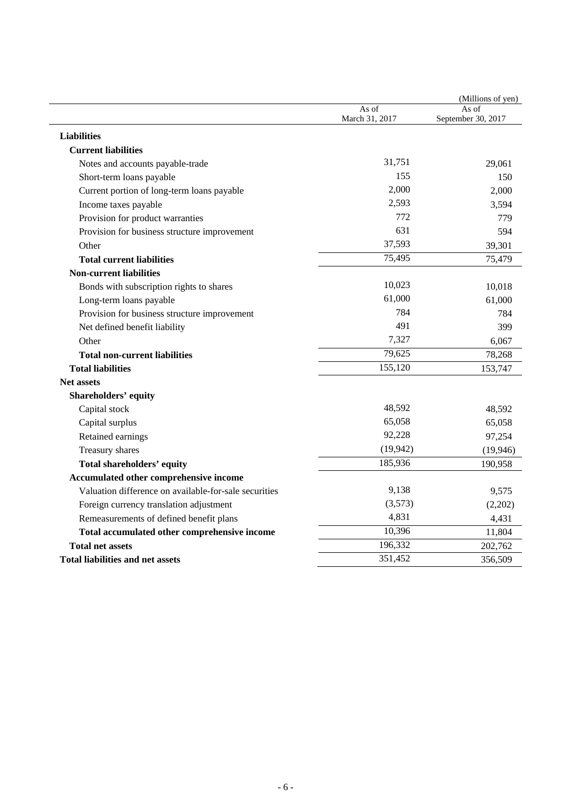|                                                       |                         | (Millions of yen)           |
|-------------------------------------------------------|-------------------------|-----------------------------|
|                                                       | As of<br>March 31, 2017 | As of<br>September 30, 2017 |
| <b>Liabilities</b>                                    |                         |                             |
| <b>Current liabilities</b>                            |                         |                             |
| Notes and accounts payable-trade                      | 31,751                  | 29,061                      |
| Short-term loans payable                              | 155                     | 150                         |
| Current portion of long-term loans payable            | 2,000                   | 2,000                       |
| Income taxes payable                                  | 2,593                   | 3,594                       |
| Provision for product warranties                      | 772                     | 779                         |
| Provision for business structure improvement          | 631                     | 594                         |
| Other                                                 | 37,593                  | 39,301                      |
| <b>Total current liabilities</b>                      | 75,495                  | 75,479                      |
| <b>Non-current liabilities</b>                        |                         |                             |
| Bonds with subscription rights to shares              | 10,023                  | 10,018                      |
| Long-term loans payable                               | 61,000                  | 61,000                      |
| Provision for business structure improvement          | 784                     | 784                         |
| Net defined benefit liability                         | 491                     | 399                         |
| Other                                                 | 7,327                   | 6,067                       |
| <b>Total non-current liabilities</b>                  | 79,625                  | 78,268                      |
| <b>Total liabilities</b>                              | 155,120                 | 153,747                     |
| <b>Net assets</b>                                     |                         |                             |
| <b>Shareholders' equity</b>                           |                         |                             |
| Capital stock                                         | 48,592                  | 48,592                      |
| Capital surplus                                       | 65,058                  | 65,058                      |
| Retained earnings                                     | 92,228                  | 97,254                      |
| Treasury shares                                       | (19, 942)               | (19, 946)                   |
| <b>Total shareholders' equity</b>                     | 185,936                 | 190,958                     |
| Accumulated other comprehensive income                |                         |                             |
| Valuation difference on available-for-sale securities | 9,138                   | 9,575                       |
| Foreign currency translation adjustment               | (3,573)                 | (2,202)                     |
| Remeasurements of defined benefit plans               | 4,831                   | 4,431                       |
| Total accumulated other comprehensive income          | 10,396                  | 11,804                      |
| <b>Total net assets</b>                               | 196,332                 | 202,762                     |
| Total liabilities and net assets                      | 351,452                 | 356,509                     |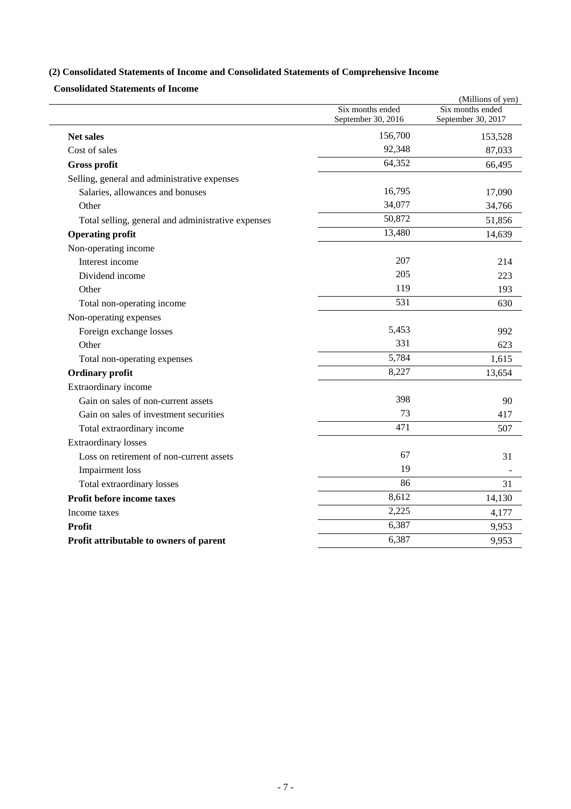## **(2) Consolidated Statements of Income and Consolidated Statements of Comprehensive Income**

**Consolidated Statements of Income** 

|                                                    |                    | (Millions of yen)  |
|----------------------------------------------------|--------------------|--------------------|
|                                                    | Six months ended   | Six months ended   |
|                                                    | September 30, 2016 | September 30, 2017 |
| <b>Net sales</b>                                   | 156,700            | 153,528            |
| Cost of sales                                      | 92,348             | 87,033             |
| <b>Gross profit</b>                                | 64,352             | 66,495             |
| Selling, general and administrative expenses       |                    |                    |
| Salaries, allowances and bonuses                   | 16,795             | 17,090             |
| Other                                              | 34,077             | 34,766             |
| Total selling, general and administrative expenses | 50,872             | 51,856             |
| <b>Operating profit</b>                            | 13,480             | 14,639             |
| Non-operating income                               |                    |                    |
| Interest income                                    | 207                | 214                |
| Dividend income                                    | 205                | 223                |
| Other                                              | 119                | 193                |
| Total non-operating income                         | 531                | 630                |
| Non-operating expenses                             |                    |                    |
| Foreign exchange losses                            | 5,453              | 992                |
| Other                                              | 331                | 623                |
| Total non-operating expenses                       | 5,784              | 1,615              |
| <b>Ordinary profit</b>                             | 8,227              | 13,654             |
| Extraordinary income                               |                    |                    |
| Gain on sales of non-current assets                | 398                | 90                 |
| Gain on sales of investment securities             | 73                 | 417                |
| Total extraordinary income                         | 471                | 507                |
| <b>Extraordinary losses</b>                        |                    |                    |
| Loss on retirement of non-current assets           | 67                 | 31                 |
| Impairment loss                                    | 19                 |                    |
| Total extraordinary losses                         | 86                 | 31                 |
| Profit before income taxes                         | 8,612              | 14,130             |
| Income taxes                                       | 2,225              | 4,177              |
| Profit                                             | 6,387              | 9,953              |
| Profit attributable to owners of parent            | 6,387              | 9,953              |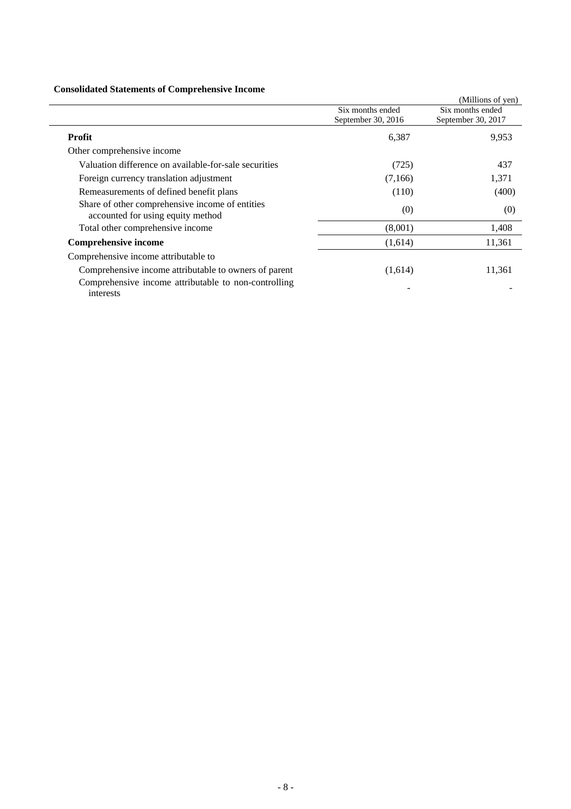## **Consolidated Statements of Comprehensive Income**

| Consolidated Statements of Complements of Income                                     |                    |                    |
|--------------------------------------------------------------------------------------|--------------------|--------------------|
|                                                                                      |                    | (Millions of yen)  |
|                                                                                      | Six months ended   | Six months ended   |
|                                                                                      | September 30, 2016 | September 30, 2017 |
| Profit                                                                               | 6,387              | 9,953              |
| Other comprehensive income                                                           |                    |                    |
| Valuation difference on available-for-sale securities                                | (725)              | 437                |
| Foreign currency translation adjustment                                              | (7,166)            | 1,371              |
| Remeasurements of defined benefit plans                                              | (110)              | (400)              |
| Share of other comprehensive income of entities<br>accounted for using equity method | (0)                | (0)                |
| Total other comprehensive income                                                     | (8,001)            | 1,408              |
| <b>Comprehensive income</b>                                                          | (1,614)            | 11,361             |
| Comprehensive income attributable to                                                 |                    |                    |
| Comprehensive income attributable to owners of parent                                | (1,614)            | 11,361             |
| Comprehensive income attributable to non-controlling<br>interests                    |                    |                    |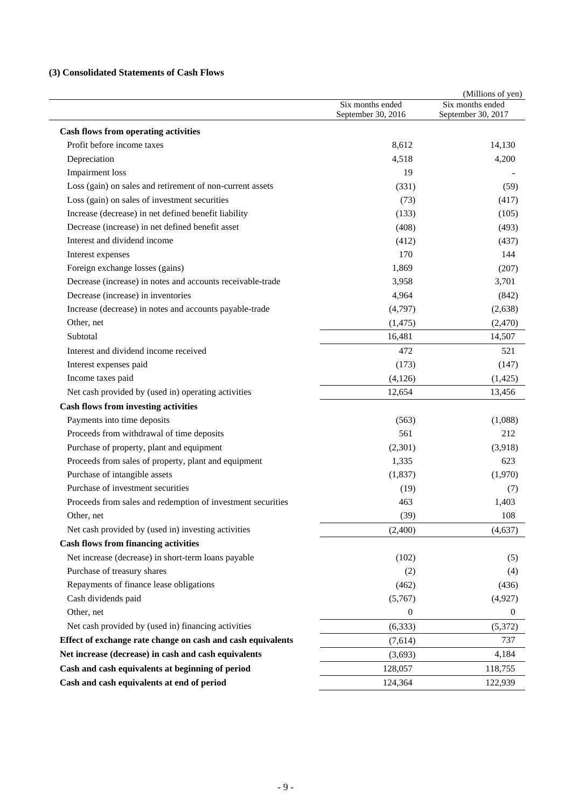## **(3) Consolidated Statements of Cash Flows**

|                                                             | Six months ended<br>September 30, 2016 | (Millions of yen)<br>Six months ended<br>September 30, 2017 |
|-------------------------------------------------------------|----------------------------------------|-------------------------------------------------------------|
| <b>Cash flows from operating activities</b>                 |                                        |                                                             |
| Profit before income taxes                                  | 8,612                                  | 14,130                                                      |
| Depreciation                                                | 4,518                                  | 4,200                                                       |
| <b>Impairment</b> loss                                      | 19                                     |                                                             |
| Loss (gain) on sales and retirement of non-current assets   | (331)                                  | (59)                                                        |
| Loss (gain) on sales of investment securities               | (73)                                   | (417)                                                       |
| Increase (decrease) in net defined benefit liability        | (133)                                  | (105)                                                       |
| Decrease (increase) in net defined benefit asset            | (408)                                  | (493)                                                       |
| Interest and dividend income                                | (412)                                  | (437)                                                       |
| Interest expenses                                           | 170                                    | 144                                                         |
| Foreign exchange losses (gains)                             | 1,869                                  | (207)                                                       |
| Decrease (increase) in notes and accounts receivable-trade  | 3,958                                  | 3,701                                                       |
| Decrease (increase) in inventories                          | 4,964                                  | (842)                                                       |
| Increase (decrease) in notes and accounts payable-trade     | (4,797)                                | (2,638)                                                     |
| Other, net                                                  | (1, 475)                               | (2,470)                                                     |
| Subtotal                                                    | 16,481                                 | 14,507                                                      |
| Interest and dividend income received                       | 472                                    | 521                                                         |
| Interest expenses paid                                      | (173)                                  | (147)                                                       |
| Income taxes paid                                           | (4, 126)                               | (1, 425)                                                    |
| Net cash provided by (used in) operating activities         | 12,654                                 | 13,456                                                      |
| <b>Cash flows from investing activities</b>                 |                                        |                                                             |
| Payments into time deposits                                 | (563)                                  | (1,088)                                                     |
| Proceeds from withdrawal of time deposits                   | 561                                    | 212                                                         |
| Purchase of property, plant and equipment                   | (2,301)                                | (3,918)                                                     |
| Proceeds from sales of property, plant and equipment        | 1,335                                  | 623                                                         |
| Purchase of intangible assets                               | (1, 837)                               | (1,970)                                                     |
| Purchase of investment securities                           | (19)                                   | (7)                                                         |
| Proceeds from sales and redemption of investment securities | 463                                    | 1,403                                                       |
| Other, net                                                  | (39)                                   | 108                                                         |
| Net cash provided by (used in) investing activities         | (2,400)                                | (4,637)                                                     |
| <b>Cash flows from financing activities</b>                 |                                        |                                                             |
| Net increase (decrease) in short-term loans payable         | (102)                                  | (5)                                                         |
| Purchase of treasury shares                                 | (2)                                    | (4)                                                         |
| Repayments of finance lease obligations                     | (462)                                  | (436)                                                       |
| Cash dividends paid                                         | (5,767)                                | (4,927)                                                     |
| Other, net                                                  | $\boldsymbol{0}$                       | $\boldsymbol{0}$                                            |
| Net cash provided by (used in) financing activities         | (6, 333)                               | (5,372)                                                     |
| Effect of exchange rate change on cash and cash equivalents | (7,614)                                | 737                                                         |
| Net increase (decrease) in cash and cash equivalents        | (3,693)                                | 4,184                                                       |
| Cash and cash equivalents at beginning of period            | 128,057                                | 118,755                                                     |
| Cash and cash equivalents at end of period                  | 124,364                                | 122,939                                                     |